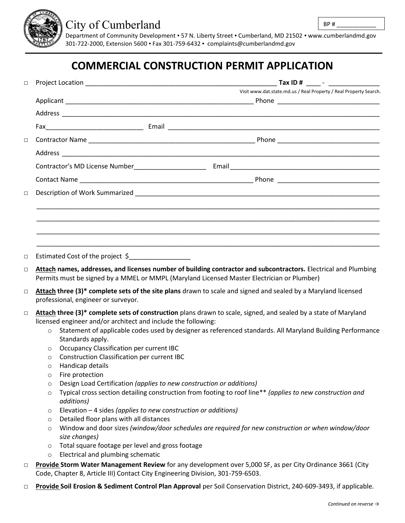

## City of Cumberland

Department of Community Development ▪ 57 N. Liberty Street ▪ Cumberland, MD 21502 ▪ www.cumberlandmd.gov 301-722-2000, Extension 5600 ▪ Fax 301-759-6432 ▪ [complaints@cumberlandmd.gov](mailto:complaints@cumberlandmd.gov)

## **COMMERCIAL CONSTRUCTION PERMIT APPLICATION**

| $\Box$ |              | <b>Tax ID #</b> ______ - _______________                                                                                                                                                                      |  |
|--------|--------------|---------------------------------------------------------------------------------------------------------------------------------------------------------------------------------------------------------------|--|
|        |              | Visit www.dat.state.md.us / Real Property / Real Property Search.                                                                                                                                             |  |
|        |              |                                                                                                                                                                                                               |  |
|        |              |                                                                                                                                                                                                               |  |
|        |              |                                                                                                                                                                                                               |  |
| $\Box$ |              |                                                                                                                                                                                                               |  |
|        |              |                                                                                                                                                                                                               |  |
|        |              |                                                                                                                                                                                                               |  |
|        |              |                                                                                                                                                                                                               |  |
| $\Box$ |              |                                                                                                                                                                                                               |  |
|        |              |                                                                                                                                                                                                               |  |
| $\Box$ |              | Estimated Cost of the project \$                                                                                                                                                                              |  |
| $\Box$ |              | Attach names, addresses, and licenses number of building contractor and subcontractors. Electrical and Plumbing<br>Permits must be signed by a MMEL or MMPL (Maryland Licensed Master Electrician or Plumber) |  |
| $\Box$ |              | Attach three (3) <sup>*</sup> complete sets of the site plans drawn to scale and signed and sealed by a Maryland licensed<br>professional, engineer or surveyor.                                              |  |
| $\Box$ |              | Attach three (3)* complete sets of construction plans drawn to scale, signed, and sealed by a state of Maryland                                                                                               |  |
|        |              | licensed engineer and/or architect and include the following:                                                                                                                                                 |  |
|        | $\circ$      | Statement of applicable codes used by designer as referenced standards. All Maryland Building Performance<br>Standards apply.                                                                                 |  |
|        | $\circ$      | Occupancy Classification per current IBC                                                                                                                                                                      |  |
|        | $\circ$      | <b>Construction Classification per current IBC</b>                                                                                                                                                            |  |
|        | $\circ$      | Handicap details                                                                                                                                                                                              |  |
|        | O            | Fire protection                                                                                                                                                                                               |  |
|        | O<br>$\circ$ | Design Load Certification (applies to new construction or additions)<br>Typical cross section detailing construction from footing to roof line** (applies to new construction and                             |  |
|        |              | additions)                                                                                                                                                                                                    |  |
|        | O            | Elevation - 4 sides (applies to new construction or additions)                                                                                                                                                |  |
|        | O            | Detailed floor plans with all distances                                                                                                                                                                       |  |
|        | $\circ$      | Window and door sizes (window/door schedules are required for new construction or when window/door                                                                                                            |  |
|        |              | size changes)                                                                                                                                                                                                 |  |
|        | $\circ$      | Total square footage per level and gross footage                                                                                                                                                              |  |
|        | $\circ$      | Electrical and plumbing schematic                                                                                                                                                                             |  |
| $\Box$ |              | Provide Storm Water Management Review for any development over 5,000 SF, as per City Ordinance 3661 (City<br>Code, Chapter 8, Article III) Contact City Engineering Division, 301-759-6503.                   |  |

□ **Provide Soil Erosion & Sediment Control Plan Approval** per Soil Conservation District, 240-609-3493, if applicable*.*